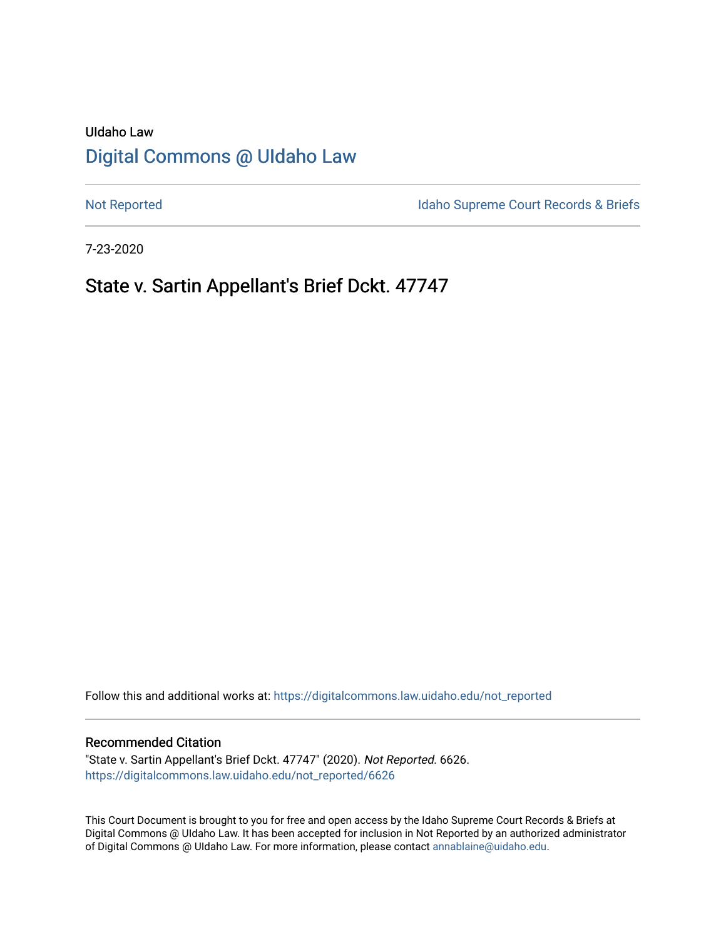# UIdaho Law [Digital Commons @ UIdaho Law](https://digitalcommons.law.uidaho.edu/)

[Not Reported](https://digitalcommons.law.uidaho.edu/not_reported) **Idaho Supreme Court Records & Briefs** 

7-23-2020

# State v. Sartin Appellant's Brief Dckt. 47747

Follow this and additional works at: [https://digitalcommons.law.uidaho.edu/not\\_reported](https://digitalcommons.law.uidaho.edu/not_reported?utm_source=digitalcommons.law.uidaho.edu%2Fnot_reported%2F6626&utm_medium=PDF&utm_campaign=PDFCoverPages) 

### Recommended Citation

"State v. Sartin Appellant's Brief Dckt. 47747" (2020). Not Reported. 6626. [https://digitalcommons.law.uidaho.edu/not\\_reported/6626](https://digitalcommons.law.uidaho.edu/not_reported/6626?utm_source=digitalcommons.law.uidaho.edu%2Fnot_reported%2F6626&utm_medium=PDF&utm_campaign=PDFCoverPages)

This Court Document is brought to you for free and open access by the Idaho Supreme Court Records & Briefs at Digital Commons @ UIdaho Law. It has been accepted for inclusion in Not Reported by an authorized administrator of Digital Commons @ UIdaho Law. For more information, please contact [annablaine@uidaho.edu](mailto:annablaine@uidaho.edu).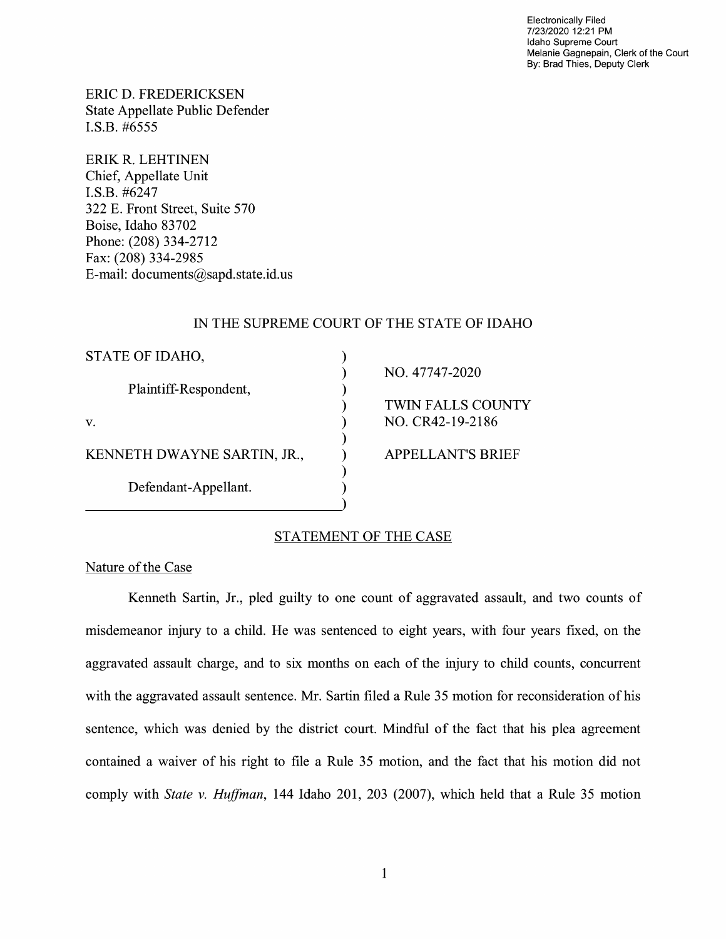Electronically Filed 7/23/2020 12:21 PM Idaho Supreme Court Melanie Gagnepain, Clerk of the Court By: Brad Thies, Deputy Clerk

ERIC D. FREDERICKSEN State Appellate Public Defender I.S.B. #6555

ERIK R. LEHTINEN Chief, Appellate Unit I.S.B. #6247 322 E. Front Street, Suite 570 Boise, Idaho 83702 Phone: (208) 334-2712 Fax: (208) 334-2985 E-mail: documents@sapd.state.id. us

## IN THE SUPREME COURT OF THE STATE OF IDAHO

| STATE OF IDAHO,             |                          |
|-----------------------------|--------------------------|
|                             | NO. 47747-2020           |
| Plaintiff-Respondent,       |                          |
|                             | <b>TWIN FALLS COUNTY</b> |
| V.                          | NO. CR42-19-2186         |
|                             |                          |
| KENNETH DWAYNE SARTIN, JR., | <b>APPELLANT'S BRIEF</b> |
|                             |                          |
| Defendant-Appellant.        |                          |
|                             |                          |

# STATEMENT OF THE CASE

Nature of the Case

Kenneth Sartin, Jr., pied guilty to one count of aggravated assault, and two counts of misdemeanor injury to a child. He was sentenced to eight years, with four years fixed, on the aggravated assault charge, and to six months on each of the injury to child counts, concurrent with the aggravated assault sentence. Mr. Sartin filed a Rule 35 motion for reconsideration of his sentence, which was denied by the district court. Mindful of the fact that his plea agreement contained a waiver of his right to file a Rule 35 motion, and the fact that his motion did not comply with *State v. Huffman,* 144 Idaho 201, 203 (2007), which held that a Rule 35 motion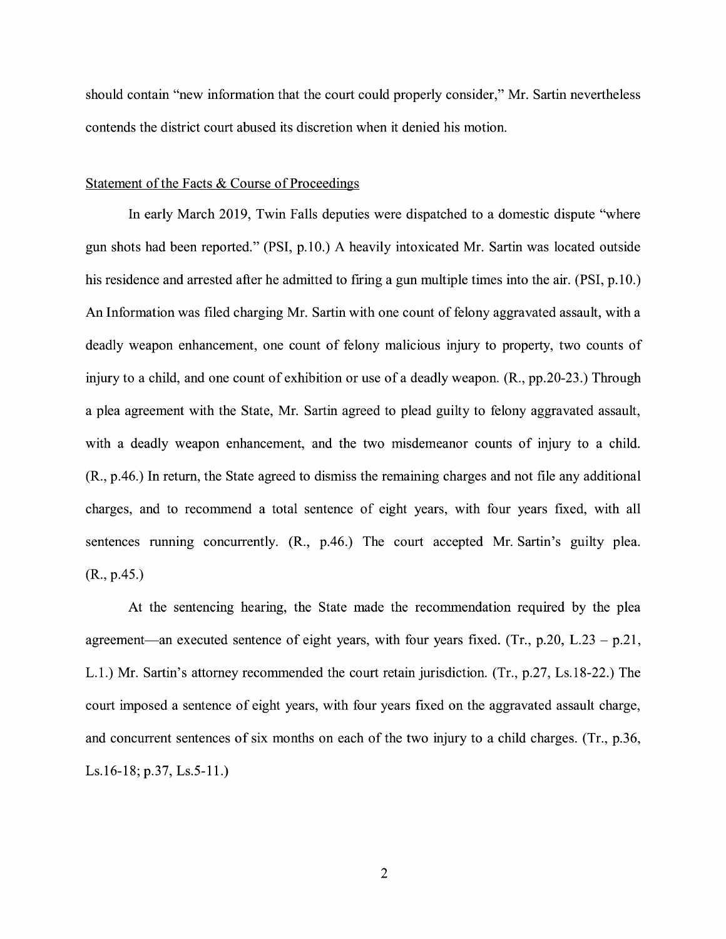should contain "new information that the court could properly consider," Mr. Sartin nevertheless contends the district court abused its discretion when it denied his motion.

## Statement of the Facts & Course of Proceedings

In early March 2019, Twin Falls deputies were dispatched to a domestic dispute "where gun shots had been reported." (PSI, p.10.) A heavily intoxicated Mr. Sartin was located outside his residence and arrested after he admitted to firing a gun multiple times into the air. **(PSI,** p.10.) An Information was filed charging Mr. Sartin with one count of felony aggravated assault, with a deadly weapon enhancement, one count of felony malicious injury to property, two counts of injury to a child, and one count of exhibition or use of a deadly weapon. **(R.,** pp.20-23.) Through a plea agreement with the State, Mr. Sartin agreed to plead guilty to felony aggravated assault, with a deadly weapon enhancement, and the two misdemeanor counts of injury to a child. (R., p.46.) In return, the State agreed to dismiss the remaining charges and not file any additional charges, and to recommend a total sentence of eight years, with four years fixed, with all sentences running concurrently. (R., p.46.) The court accepted Mr. Sartin's guilty plea. (R., p.45.)

At the sentencing hearing, the State made the recommendation required by the plea agreement—an executed sentence of eight years, with four years fixed. (Tr.,  $p.20$ , L.23 -  $p.21$ , L.1.) Mr. Sartin's attorney recommended the court retain jurisdiction. (Tr., p.27, Ls.18-22.) The court imposed a sentence of eight years, with four years fixed on the aggravated assault charge, and concurrent sentences of six months on each of the two injury to a child charges. (Tr., p.36, Ls.16-18; p.37, Ls.5-11.)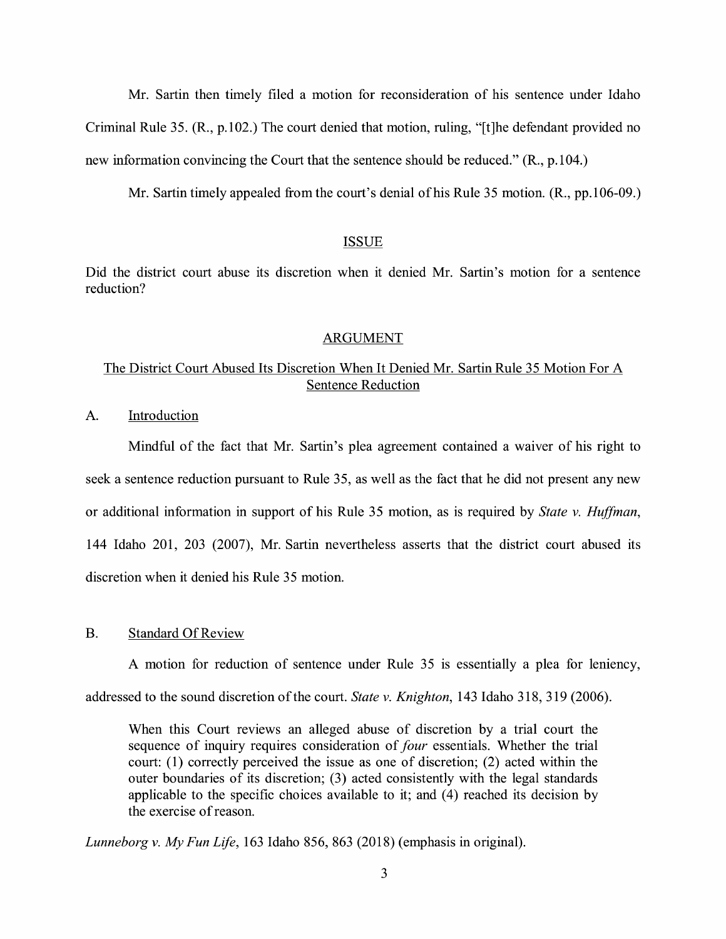Mr. Sartin then timely filed a motion for reconsideration of his sentence under Idaho Criminal Rule 35. (R., p.102.) The court denied that motion, ruling, "[t]he defendant provided no new information convincing the Court that the sentence should be reduced." (R., p.104.)

Mr. Sartin timely appealed from the court's denial ofhis Rule 35 motion. **(R.,** pp.106-09.)

## ISSUE

Did the district court abuse its discretion when it denied Mr. Sartin's motion for a sentence reduction?

#### ARGUMENT

# The District Court Abused Its Discretion When It Denied Mr. Sartin Rule 35 Motion For A Sentence Reduction

A. Introduction

Mindful of the fact that Mr. Sartin's plea agreement contained a waiver of his right to seek a sentence reduction pursuant to Rule 35, as well as the fact that he did not present any new or additional information in support of his Rule 35 motion, as is required by *State v. Huffman,*  144 Idaho 201, 203 (2007), Mr. Sartin nevertheless asserts that the district court abused its discretion when it denied his Rule 35 motion.

## B. Standard Of Review

A motion for reduction of sentence under Rule 35 is essentially a plea for leniency,

addressed to the sound discretion of the court. *State v. Knighton*, 143 Idaho 318, 319 (2006).

When this Court reviews an alleged abuse of discretion by a trial court the sequence of inquiry requires consideration of *four* essentials. Whether the trial court: (1) correctly perceived the issue as one of discretion; (2) acted within the outer boundaries of its discretion; (3) acted consistently with the legal standards applicable to the specific choices available to it; and  $(4)$  reached its decision by the exercise of reason.

*Lunneborg v. My Fun Life,* 163 Idaho 856, 863 (2018) (emphasis in original).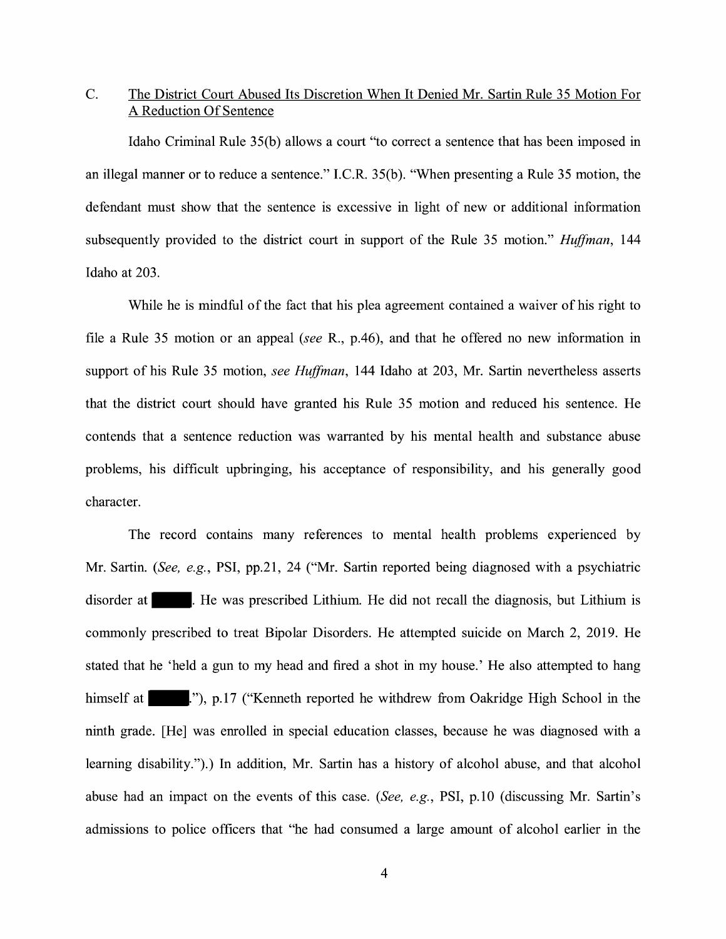# C. The District Court Abused Its Discretion When It Denied Mr. Sartin Rule 35 Motion For A Reduction Of Sentence

Idaho Criminal Rule 35(b) allows a court "to correct a sentence that has been imposed in an illegal manner or to reduce a sentence." I.C.R. 35(b ). "When presenting a Rule 35 motion, the defendant must show that the sentence is excessive in light of new or additional information subsequently provided to the district court in support of the Rule 35 motion." *Huffman,* 144 Idaho at 203.

While he is mindful of the fact that his plea agreement contained a waiver of his right to file a Rule 35 motion or an appeal *(see* R., p.46), and that he offered no new information in support of his Rule 35 motion, *see Huffman,* 144 Idaho at 203, Mr. Sartin nevertheless asserts that the district court should have granted his Rule 35 motion and reduced his sentence. He contends that a sentence reduction was warranted by his mental health and substance abuse problems, his difficult upbringing, his acceptance of responsibility, and his generally good character.

The record contains many references to mental health problems experienced by Mr. Sartin. *(See, e.g.,* **PSI,** pp.21, 24 ("Mr. Sartin reported being diagnosed with a psychiatric disorder at . He was prescribed Lithium. He did not recall the diagnosis, but Lithium is commonly prescribed to treat Bipolar Disorders. He attempted suicide on March 2, 2019. He stated that he 'held a gun to my head and fired a shot in my house.' He also attempted to hang himself at ..., p.17 ("Kenneth reported he withdrew from Oakridge High School in the ninth grade. [He] was enrolled in special education classes, because he was diagnosed with a learning disability.").) In addition, Mr. Sartin has a history of alcohol abuse, and that alcohol abuse had an impact on the events of this case. *(See, e.g.,* PSI, p.10 (discussing Mr. Sartin's admissions to police officers that "he had consumed a large amount of alcohol earlier in the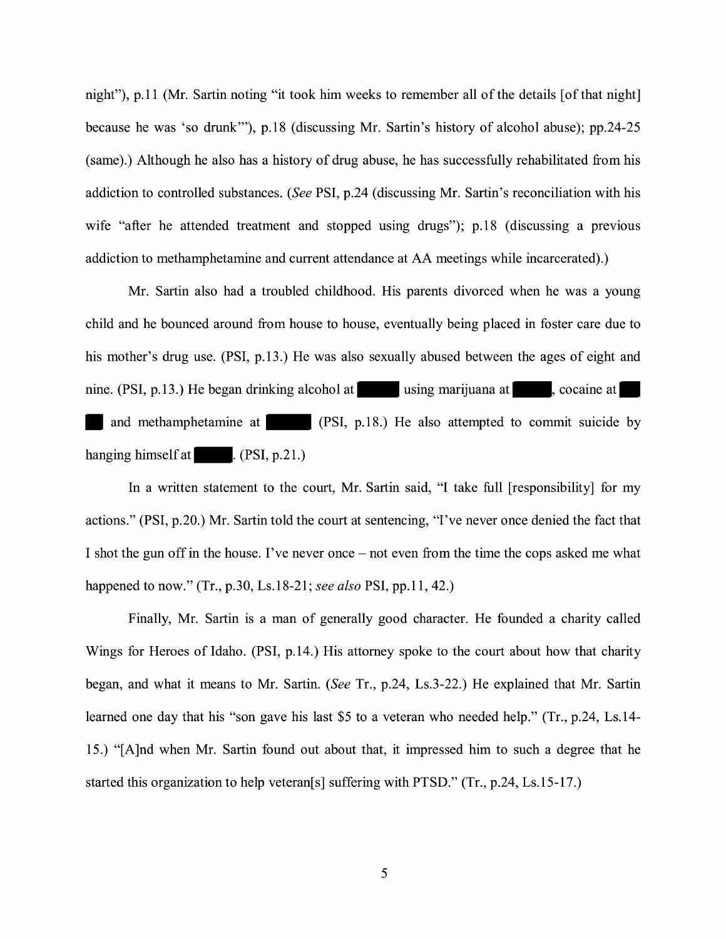night"), p.11 (Mr. Sartin noting "it took him weeks to remember all of the details [of that night] because he was 'so drunk"'), p.18 ( discussing Mr. Sartin's history of alcohol abuse); pp.24-25 (same).) Although he also has a history of drug abuse, he has successfully rehabilitated from his addiction to controlled substances. *(See* PSI, p.24 ( discussing Mr. Sartin's reconciliation with his wife "after he attended treatment and stopped using drugs"); p.18 (discussing a previous addiction to methamphetamine and current attendance at AA meetings while incarcerated).)

Mr. Sartin also had a troubled childhood. His parents divorced when he was a young child and he bounced around from house to house, eventually being placed in foster care due to his mother's drug use. (PSI, p.13.) He was also sexually abused between the ages of eight and nine. (PSI, p.13.) He began drinking alcohol at using marijuana at , cocaine at and methamphetamine at (PSI, p.18.) He also attempted to commit suicide by hanging himself at  $\blacksquare$ . (PSI, p.21.)

In a written statement to the court, Mr. Sartin said, "I take full [responsibility] for my actions." (PSI, p.20.) Mr. Sartin told the court at sentencing, "I've never once denied the fact that I shot the gun off in the house. I've never once – not even from the time the cops asked me what happened to now." (Tr., p.30, Ls.18-21; *see also* PSI, pp.11, 42.)

Finally, Mr. Sartin is a man of generally good character. He founded a charity called Wings for Heroes of Idaho. (PSI, p.14.) His attorney spoke to the court about how that charity began, and what it means to Mr. Sartin. *(See* Tr., p.24, Ls.3-22.) He explained that Mr. Sartin learned one day that his "son gave his last \$5 to a veteran who needed help." (Tr., p.24, Ls.14- 15.) "[A]nd when Mr. Sartin found out about that, it impressed him to such a degree that he started this organization to help veteran[s] suffering with PTSD." (Tr., p.24, Ls.15-17.)